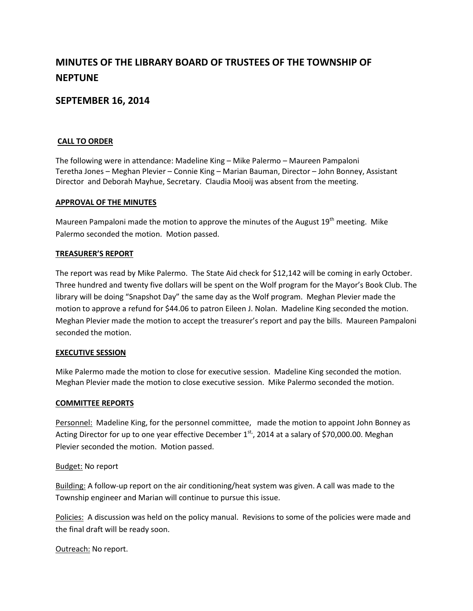# **MINUTES OF THE LIBRARY BOARD OF TRUSTEES OF THE TOWNSHIP OF NEPTUNE**

# **SEPTEMBER 16, 2014**

## **CALL TO ORDER**

The following were in attendance: Madeline King – Mike Palermo – Maureen Pampaloni Teretha Jones – Meghan Plevier – Connie King – Marian Bauman, Director – John Bonney, Assistant Director and Deborah Mayhue, Secretary. Claudia Mooij was absent from the meeting.

#### **APPROVAL OF THE MINUTES**

Maureen Pampaloni made the motion to approve the minutes of the August  $19<sup>th</sup>$  meeting. Mike Palermo seconded the motion. Motion passed.

#### **TREASURER'S REPORT**

The report was read by Mike Palermo. The State Aid check for \$12,142 will be coming in early October. Three hundred and twenty five dollars will be spent on the Wolf program for the Mayor's Book Club. The library will be doing "Snapshot Day" the same day as the Wolf program. Meghan Plevier made the motion to approve a refund for \$44.06 to patron Eileen J. Nolan. Madeline King seconded the motion. Meghan Plevier made the motion to accept the treasurer's report and pay the bills. Maureen Pampaloni seconded the motion.

#### **EXECUTIVE SESSION**

Mike Palermo made the motion to close for executive session. Madeline King seconded the motion. Meghan Plevier made the motion to close executive session. Mike Palermo seconded the motion.

#### **COMMITTEE REPORTS**

Personnel: Madeline King, for the personnel committee, made the motion to appoint John Bonney as Acting Director for up to one year effective December 1<sup>st,</sup>, 2014 at a salary of \$70,000.00. Meghan Plevier seconded the motion. Motion passed.

## Budget: No report

Building: A follow-up report on the air conditioning/heat system was given. A call was made to the Township engineer and Marian will continue to pursue this issue.

Policies: A discussion was held on the policy manual. Revisions to some of the policies were made and the final draft will be ready soon.

Outreach: No report.